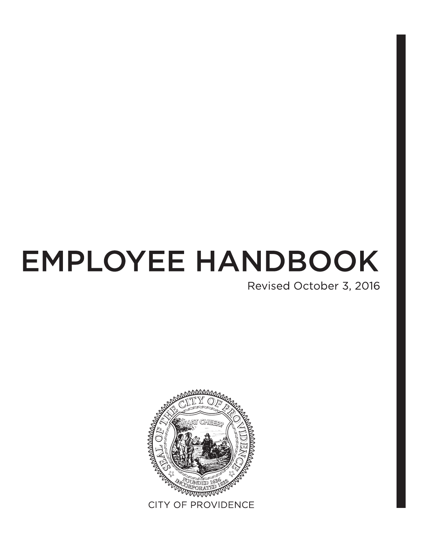# **EMPLOYEE HANDBOOK**

Revised October 3, 2016

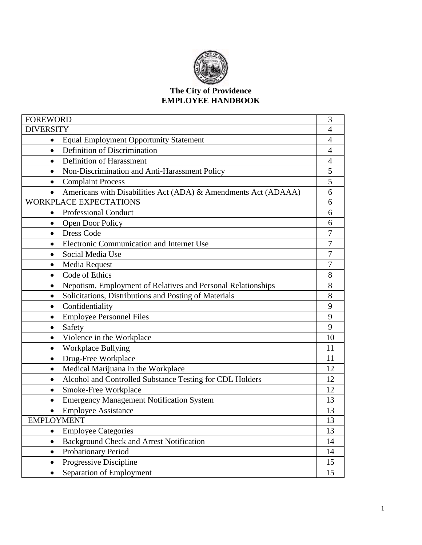

#### **The City of Providence EMPLOYEE HANDBOOK**

| <b>FOREWORD</b>                                                             | 3              |  |
|-----------------------------------------------------------------------------|----------------|--|
| <b>DIVERSITY</b>                                                            | $\overline{4}$ |  |
| <b>Equal Employment Opportunity Statement</b><br>$\bullet$                  | 4              |  |
| Definition of Discrimination<br>$\bullet$                                   | $\overline{4}$ |  |
| Definition of Harassment<br>$\bullet$                                       | $\overline{4}$ |  |
| Non-Discrimination and Anti-Harassment Policy<br>$\bullet$                  | 5              |  |
| <b>Complaint Process</b><br>$\bullet$                                       | 5              |  |
| Americans with Disabilities Act (ADA) & Amendments Act (ADAAA)<br>$\bullet$ | 6              |  |
| <b>WORKPLACE EXPECTATIONS</b>                                               | 6              |  |
| Professional Conduct<br>$\bullet$                                           | 6              |  |
| Open Door Policy<br>$\bullet$                                               | 6              |  |
| <b>Dress Code</b><br>$\bullet$                                              | 7              |  |
| Electronic Communication and Internet Use<br>$\bullet$                      | 7              |  |
| Social Media Use<br>$\bullet$                                               | 7              |  |
| Media Request<br>$\bullet$                                                  | 7              |  |
| Code of Ethics<br>$\bullet$                                                 | 8              |  |
| Nepotism, Employment of Relatives and Personal Relationships<br>$\bullet$   | 8              |  |
| Solicitations, Distributions and Posting of Materials<br>$\bullet$          |                |  |
| Confidentiality<br>$\bullet$                                                |                |  |
| <b>Employee Personnel Files</b><br>$\bullet$                                | 9              |  |
| Safety<br>٠                                                                 | 9              |  |
| Violence in the Workplace<br>$\bullet$                                      | 10             |  |
| Workplace Bullying<br>$\bullet$                                             | 11             |  |
| Drug-Free Workplace<br>$\bullet$                                            | 11             |  |
| Medical Marijuana in the Workplace<br>٠                                     | 12             |  |
| Alcohol and Controlled Substance Testing for CDL Holders<br>٠               | 12             |  |
| Smoke-Free Workplace<br>$\bullet$                                           | 12             |  |
| <b>Emergency Management Notification System</b><br>$\bullet$                | 13             |  |
| <b>Employee Assistance</b>                                                  | 13             |  |
| <b>EMPLOYMENT</b>                                                           | 13             |  |
| <b>Employee Categories</b><br>$\bullet$                                     | 13             |  |
| <b>Background Check and Arrest Notification</b><br>$\bullet$                | 14             |  |
| Probationary Period<br>$\bullet$                                            | 14             |  |
| Progressive Discipline<br>$\bullet$                                         | 15             |  |
| Separation of Employment<br>$\bullet$                                       | 15             |  |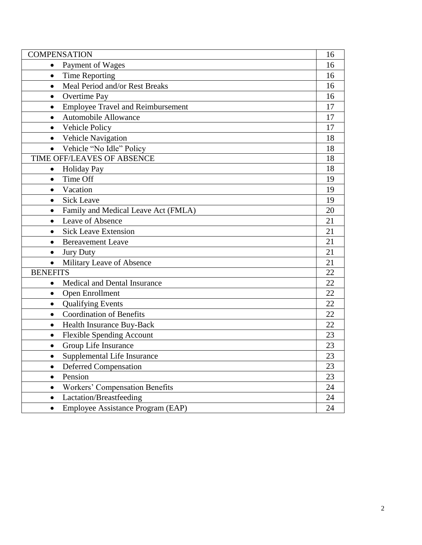<span id="page-2-0"></span>

| <b>COMPENSATION</b>                                   |    |  |
|-------------------------------------------------------|----|--|
| Payment of Wages<br>$\bullet$                         |    |  |
| <b>Time Reporting</b><br>$\bullet$                    | 16 |  |
| Meal Period and/or Rest Breaks<br>$\bullet$           | 16 |  |
| Overtime Pay<br>$\bullet$                             | 16 |  |
| <b>Employee Travel and Reimbursement</b><br>$\bullet$ | 17 |  |
| <b>Automobile Allowance</b><br>$\bullet$              | 17 |  |
| Vehicle Policy<br>$\bullet$                           | 17 |  |
| Vehicle Navigation<br>$\bullet$                       | 18 |  |
| Vehicle "No Idle" Policy                              | 18 |  |
| TIME OFF/LEAVES OF ABSENCE                            | 18 |  |
| <b>Holiday Pay</b><br>$\bullet$                       | 18 |  |
| Time Off<br>$\bullet$                                 | 19 |  |
| Vacation<br>$\bullet$                                 | 19 |  |
| <b>Sick Leave</b><br>$\bullet$                        | 19 |  |
| Family and Medical Leave Act (FMLA)                   | 20 |  |
| Leave of Absence<br>$\bullet$                         | 21 |  |
| <b>Sick Leave Extension</b><br>$\bullet$              | 21 |  |
| <b>Bereavement Leave</b><br>$\bullet$                 | 21 |  |
| <b>Jury Duty</b><br>$\bullet$                         | 21 |  |
| Military Leave of Absence<br>$\bullet$                | 21 |  |
| <b>BENEFITS</b>                                       | 22 |  |
| Medical and Dental Insurance<br>٠                     | 22 |  |
| Open Enrollment<br>$\bullet$                          | 22 |  |
| <b>Qualifying Events</b><br>$\bullet$                 | 22 |  |
| <b>Coordination of Benefits</b><br>$\bullet$          | 22 |  |
| Health Insurance Buy-Back<br>$\bullet$                | 22 |  |
| <b>Flexible Spending Account</b><br>$\bullet$         | 23 |  |
| Group Life Insurance<br>$\bullet$                     | 23 |  |
| Supplemental Life Insurance                           | 23 |  |
| Deferred Compensation<br>$\bullet$                    | 23 |  |
| Pension<br>$\bullet$                                  | 23 |  |
| <b>Workers' Compensation Benefits</b><br>$\bullet$    | 24 |  |
| Lactation/Breastfeeding<br>$\bullet$                  | 24 |  |
| Employee Assistance Program (EAP)<br>$\bullet$        | 24 |  |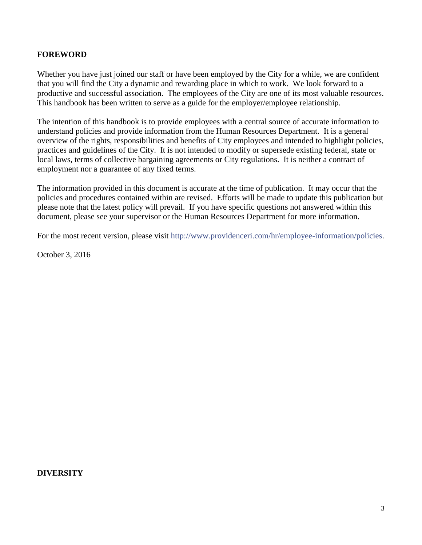#### **FOREWORD**

Whether you have just joined our staff or have been employed by the City for a while, we are confident that you will find the City a dynamic and rewarding place in which to work. We look forward to a productive and successful association. The employees of the City are one of its most valuable resources. This handbook has been written to serve as a guide for the employer/employee relationship.

The intention of this handbook is to provide employees with a central source of accurate information to understand policies and provide information from the Human Resources Department. It is a general overview of the rights, responsibilities and benefits of City employees and intended to highlight policies, practices and guidelines of the City. It is not intended to modify or supersede existing federal, state or local laws, terms of collective bargaining agreements or City regulations. It is neither a contract of employment nor a guarantee of any fixed terms.

The information provided in this document is accurate at the time of publication. It may occur that the policies and procedures contained within are revised. Efforts will be made to update this publication but please note that the latest policy will prevail. If you have specific questions not answered within this document, please see your supervisor or the Human Resources Department for more information.

For the most recent version, please visit [http://www.providenceri.com/hr/employee-information/policies.](http://www.providenceri.com/hr/employee-information/policies)

October 3, 2016

#### <span id="page-3-0"></span>**DIVERSITY**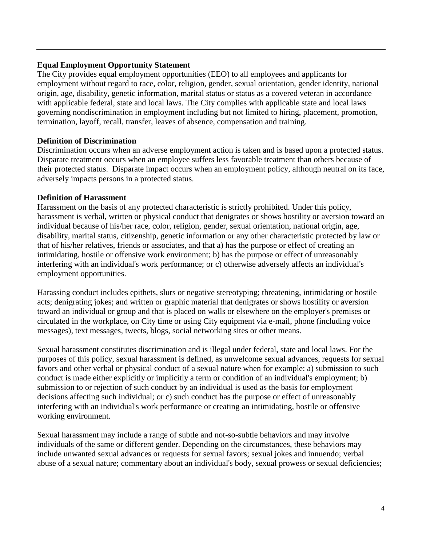## <span id="page-4-0"></span>**Equal Employment Opportunity Statement**

The City provides equal employment opportunities (EEO) to all employees and applicants for employment without regard to race, color, religion, gender, sexual orientation, gender identity, national origin, age, disability, genetic information, marital status or status as a covered veteran in accordance with applicable federal, state and local laws. The City complies with applicable state and local laws governing nondiscrimination in employment including but not limited to hiring, placement, promotion, termination, layoff, recall, transfer, leaves of absence, compensation and training.

## **Definition of Discrimination**

Discrimination occurs when an adverse employment action is taken and is based upon a protected status. Disparate treatment occurs when an employee suffers less favorable treatment than others because of their protected status. Disparate impact occurs when an employment policy, although neutral on its face, adversely impacts persons in a protected status.

## **Definition of Harassment**

Harassment on the basis of any protected characteristic is strictly prohibited. Under this policy, harassment is verbal, written or physical conduct that denigrates or shows hostility or aversion toward an individual because of his/her race, color, religion, gender, sexual orientation, national origin, age, disability, marital status, citizenship, genetic information or any other characteristic protected by law or that of his/her relatives, friends or associates, and that a) has the purpose or effect of creating an intimidating, hostile or offensive work environment; b) has the purpose or effect of unreasonably interfering with an individual's work performance; or c) otherwise adversely affects an individual's employment opportunities.

Harassing conduct includes epithets, slurs or negative stereotyping; threatening, intimidating or hostile acts; denigrating jokes; and written or graphic material that denigrates or shows hostility or aversion toward an individual or group and that is placed on walls or elsewhere on the employer's premises or circulated in the workplace, on City time or using City equipment via e-mail, phone (including voice messages), text messages, tweets, blogs, social networking sites or other means.

Sexual harassment constitutes discrimination and is illegal under federal, state and local laws. For the purposes of this policy, sexual harassment is defined, as unwelcome sexual advances, requests for sexual favors and other verbal or physical conduct of a sexual nature when for example: a) submission to such conduct is made either explicitly or implicitly a term or condition of an individual's employment; b) submission to or rejection of such conduct by an individual is used as the basis for employment decisions affecting such individual; or c) such conduct has the purpose or effect of unreasonably interfering with an individual's work performance or creating an intimidating, hostile or offensive working environment.

Sexual harassment may include a range of subtle and not-so-subtle behaviors and may involve individuals of the same or different gender. Depending on the circumstances, these behaviors may include unwanted sexual advances or requests for sexual favors; sexual jokes and innuendo; verbal abuse of a sexual nature; commentary about an individual's body, sexual prowess or sexual deficiencies;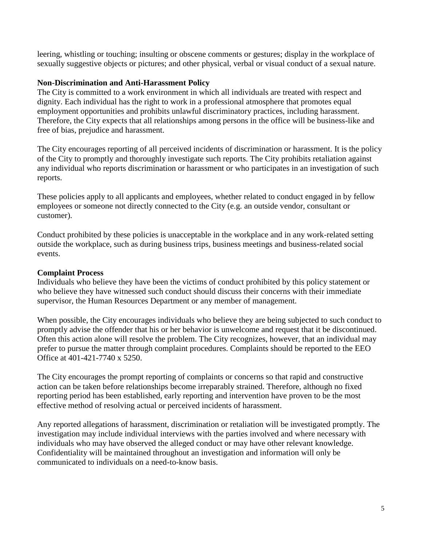leering, whistling or touching; insulting or obscene comments or gestures; display in the workplace of sexually suggestive objects or pictures; and other physical, verbal or visual conduct of a sexual nature.

## <span id="page-5-0"></span>**Non-Discrimination and Anti-Harassment Policy**

The City is committed to a work environment in which all individuals are treated with respect and dignity. Each individual has the right to work in a professional atmosphere that promotes equal employment opportunities and prohibits unlawful discriminatory practices, including harassment. Therefore, the City expects that all relationships among persons in the office will be business-like and free of bias, prejudice and harassment.

The City encourages reporting of all perceived incidents of discrimination or harassment. It is the policy of the City to promptly and thoroughly investigate such reports. The City prohibits retaliation against any individual who reports discrimination or harassment or who participates in an investigation of such reports.

These policies apply to all applicants and employees, whether related to conduct engaged in by fellow employees or someone not directly connected to the City (e.g. an outside vendor, consultant or customer).

Conduct prohibited by these policies is unacceptable in the workplace and in any work-related setting outside the workplace, such as during business trips, business meetings and business-related social events.

## **Complaint Process**

Individuals who believe they have been the victims of conduct prohibited by this policy statement or who believe they have witnessed such conduct should discuss their concerns with their immediate supervisor, the Human Resources Department or any member of management.

When possible, the City encourages individuals who believe they are being subjected to such conduct to promptly advise the offender that his or her behavior is unwelcome and request that it be discontinued. Often this action alone will resolve the problem. The City recognizes, however, that an individual may prefer to pursue the matter through complaint procedures. Complaints should be reported to the EEO Office at 401-421-7740 x 5250.

The City encourages the prompt reporting of complaints or concerns so that rapid and constructive action can be taken before relationships become irreparably strained. Therefore, although no fixed reporting period has been established, early reporting and intervention have proven to be the most effective method of resolving actual or perceived incidents of harassment.

Any reported allegations of harassment, discrimination or retaliation will be investigated promptly. The investigation may include individual interviews with the parties involved and where necessary with individuals who may have observed the alleged conduct or may have other relevant knowledge. Confidentiality will be maintained throughout an investigation and information will only be communicated to individuals on a need-to-know basis.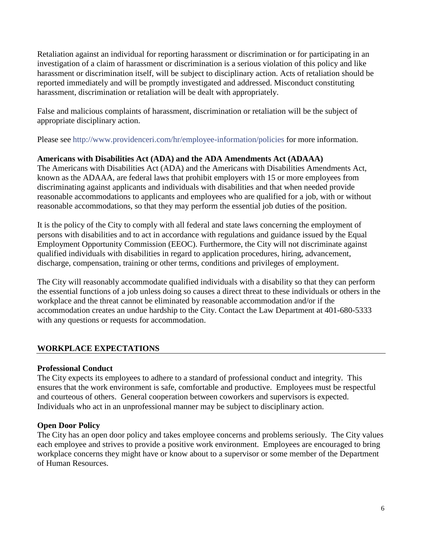Retaliation against an individual for reporting harassment or discrimination or for participating in an investigation of a claim of harassment or discrimination is a serious violation of this policy and like harassment or discrimination itself, will be subject to disciplinary action. Acts of retaliation should be reported immediately and will be promptly investigated and addressed. Misconduct constituting harassment, discrimination or retaliation will be dealt with appropriately.

False and malicious complaints of harassment, discrimination or retaliation will be the subject of appropriate disciplinary action.

Please see<http://www.providenceri.com/hr/employee-information/policies> for more information.

# <span id="page-6-0"></span>**Americans with Disabilities Act (ADA) and the ADA Amendments Act (ADAAA)**

The Americans with Disabilities Act (ADA) and the Americans with Disabilities Amendments Act, known as the ADAAA, are federal laws that prohibit employers with 15 or more employees from discriminating against applicants and individuals with disabilities and that when needed provide reasonable accommodations to applicants and employees who are qualified for a job, with or without reasonable accommodations, so that they may perform the essential job duties of the position.

It is the policy of the City to comply with all federal and state laws concerning the employment of persons with disabilities and to act in accordance with regulations and guidance issued by the Equal Employment Opportunity Commission (EEOC). Furthermore, the City will not discriminate against qualified individuals with disabilities in regard to application procedures, hiring, advancement, discharge, compensation, training or other terms, conditions and privileges of employment.

The City will reasonably accommodate qualified individuals with a disability so that they can perform the essential functions of a job unless doing so causes a direct threat to these individuals or others in the workplace and the threat cannot be eliminated by reasonable accommodation and/or if the accommodation creates an undue hardship to the City. Contact [the](mailto:the) Law Department at 401-680-5333 with any questions or requests for accommodation.

# **WORKPLACE EXPECTATIONS**

## **Professional Conduct**

The City expects its employees to adhere to a standard of professional conduct and integrity. This ensures that the work environment is safe, comfortable and productive. Employees must be respectful and courteous of others. General cooperation between coworkers and supervisors is expected. Individuals who act in an unprofessional manner may be subject to disciplinary action.

## **Open Door Policy**

The City has an open door policy and takes employee concerns and problems seriously. The City values each employee and strives to provide a positive work environment. Employees are encouraged to bring workplace concerns they might have or know about to a supervisor or some member of the Department of Human Resources.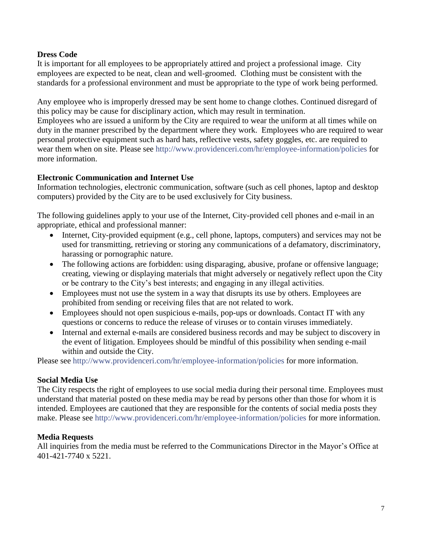## **Dress Code**

It is important for all employees to be appropriately attired and project a professional image. City employees are expected to be neat, clean and well-groomed. Clothing must be consistent with the standards for a professional environment and must be appropriate to the type of work being performed.

Any employee who is improperly dressed may be sent home to change clothes. Continued disregard of this policy may be cause for disciplinary action, which may result in termination.

Employees who are issued a uniform by the City are required to wear the uniform at all times while on duty in the manner prescribed by the department where they work. Employees who are required to wear personal protective equipment such as hard hats, reflective vests, safety goggles, etc. are required to wear them when on site. Please see<http://www.providenceri.com/hr/employee-information/policies> for more information.

## <span id="page-7-0"></span>**Electronic Communication and Internet Use**

Information technologies, electronic communication, software (such as cell phones, laptop and desktop computers) provided by the City are to be used exclusively for City business.

The following guidelines apply to your use of the Internet, City-provided cell phones and e-mail in an appropriate, ethical and professional manner:

- Internet, City-provided equipment (e.g., cell phone, laptops, computers) and services may not be used for transmitting, retrieving or storing any communications of a defamatory, discriminatory, harassing or pornographic nature.
- The following actions are forbidden: using disparaging, abusive, profane or offensive language; creating, viewing or displaying materials that might adversely or negatively reflect upon the City or be contrary to the City's best interests; and engaging in any illegal activities.
- Employees must not use the system in a way that disrupts its use by others. Employees are prohibited from sending or receiving files that are not related to work.
- Employees should not open suspicious e-mails, pop-ups or downloads. Contact IT with any questions or concerns to reduce the release of viruses or to contain viruses immediately.
- <span id="page-7-1"></span> Internal and external e-mails are considered business records and may be subject to discovery in the event of litigation. Employees should be mindful of this possibility when sending e-mail within and outside the City.

Please see<http://www.providenceri.com/hr/employee-information/policies> for more information.

#### **Social Media Use**

The City respects the right of employees to use social media during their personal time. Employees must understand that material posted on these media may be read by persons other than those for whom it is intended. Employees are cautioned that they are responsible for the contents of social media posts they make. Please see<http://www.providenceri.com/hr/employee-information/policies> for more information.

## **Media Requests**

All inquiries from the media must be referred to the Communications Director in the Mayor's Office at 401-421-7740 x 5221.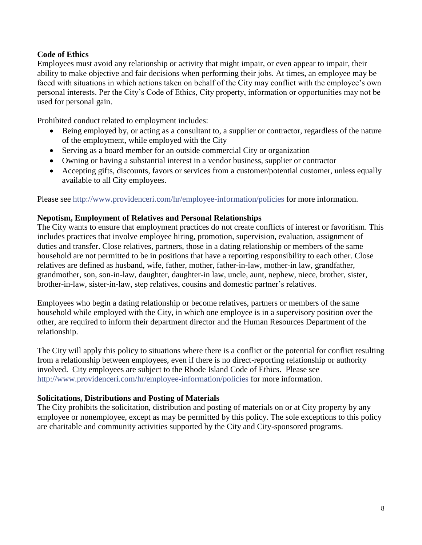# **Code of Ethics**

Employees must avoid any relationship or activity that might impair, or even appear to impair, their ability to make objective and fair decisions when performing their jobs. At times, an employee may be faced with situations in which actions taken on behalf of the City may conflict with the employee's own personal interests. Per the City's Code of Ethics, City property, information or opportunities may not be used for personal gain.

Prohibited conduct related to employment includes:

- Being employed by, or acting as a consultant to, a supplier or contractor, regardless of the nature of the employment, while employed with the City
- Serving as a board member for an outside commercial City or organization
- Owning or having a substantial interest in a vendor business, supplier or contractor
- Accepting gifts, discounts, favors or services from a customer/potential customer, unless equally available to all City employees.

Please see<http://www.providenceri.com/hr/employee-information/policies> for more information.

## <span id="page-8-0"></span>**Nepotism, Employment of Relatives and Personal Relationships**

The City wants to ensure that employment practices do not create conflicts of interest or favoritism. This includes practices that involve employee hiring, promotion, supervision, evaluation, assignment of duties and transfer. Close relatives, partners, those in a dating relationship or members of the same household are not permitted to be in positions that have a reporting responsibility to each other. Close relatives are defined as husband, wife, father, mother, father-in-law, mother-in law, grandfather, grandmother, son, son-in-law, daughter, daughter-in law, uncle, aunt, nephew, niece, brother, sister, brother-in-law, sister-in-law, step relatives, cousins and domestic partner's relatives.

Employees who begin a dating relationship or become relatives, partners or members of the same household while employed with the City, in which one employee is in a supervisory position over the other, are required to inform their department director and the Human Resources Department of the relationship.

The City will apply this policy to situations where there is a conflict or the potential for conflict resulting from a relationship between employees, even if there is no direct-reporting relationship or authority involved. City employees are subject to the Rhode Island Code of Ethics. Please see <http://www.providenceri.com/hr/employee-information/policies> for more information.

#### <span id="page-8-1"></span>**Solicitations, Distributions and Posting of Materials**

The City prohibits the solicitation, distribution and posting of materials on or at City property by any employee or nonemployee, except as may be permitted by this policy. The sole exceptions to this policy are charitable and community activities supported by the City and City-sponsored programs.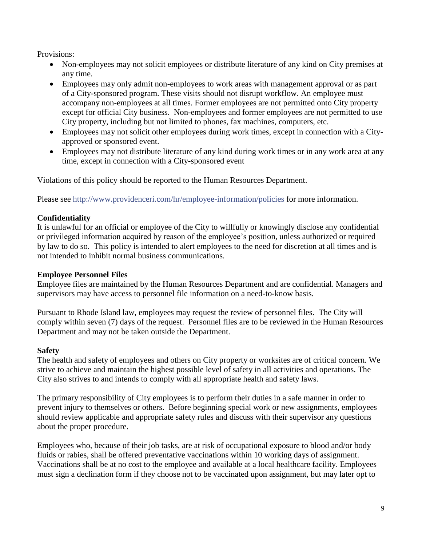Provisions:

- Non-employees may not solicit employees or distribute literature of any kind on City premises at any time.
- Employees may only admit non-employees to work areas with management approval or as part of a City-sponsored program. These visits should not disrupt workflow. An employee must accompany non-employees at all times. Former employees are not permitted onto City property except for official City business. Non-employees and former employees are not permitted to use City property, including but not limited to phones, fax machines, computers, etc.
- Employees may not solicit other employees during work times, except in connection with a Cityapproved or sponsored event.
- Employees may not distribute literature of any kind during work times or in any work area at any time, except in connection with a City-sponsored event

Violations of this policy should be reported to the Human Resources Department.

Please see<http://www.providenceri.com/hr/employee-information/policies> for more information.

## **Confidentiality**

It is unlawful for an official or employee of the City to willfully or knowingly disclose any confidential or privileged information acquired by reason of the employee's position, unless authorized or required by law to do so. This policy is intended to alert employees to the need for discretion at all times and is not intended to inhibit normal business communications.

## <span id="page-9-1"></span>**Employee Personnel Files**

Employee files are maintained by the Human Resources Department and are confidential. Managers and supervisors may have access to personnel file information on a need-to-know basis.

Pursuant to Rhode Island law, employees may request the review of personnel files. The City will comply within seven (7) days of the request. Personnel files are to be reviewed in the Human Resources Department and may not be taken outside the Department.

## <span id="page-9-0"></span>**Safety**

The health and safety of employees and others on City property or worksites are of critical concern. We strive to achieve and maintain the highest possible level of safety in all activities and operations. The City also strives to and intends to comply with all appropriate health and safety laws.

The primary responsibility of City employees is to perform their duties in a safe manner in order to prevent injury to themselves or others. Before beginning special work or new assignments, employees should review applicable and appropriate safety rules and discuss with their supervisor any questions about the proper procedure.

Employees who, because of their job tasks, are at risk of occupational exposure to blood and/or body fluids or rabies, shall be offered preventative vaccinations within 10 working days of assignment. Vaccinations shall be at no cost to the employee and available at a local healthcare facility. Employees must sign a declination form if they choose not to be vaccinated upon assignment, but may later opt to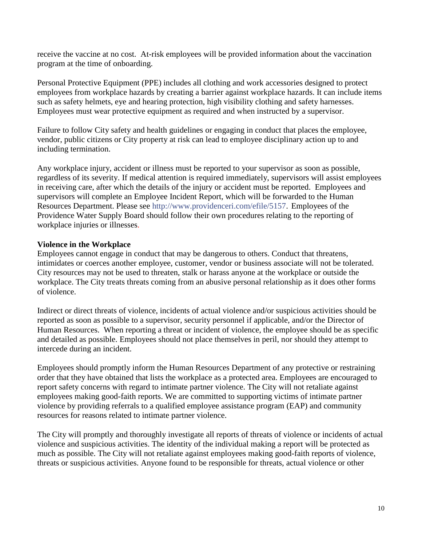receive the vaccine at no cost. At-risk employees will be provided information about the vaccination program at the time of onboarding.

Personal Protective Equipment (PPE) includes all clothing and work accessories designed to protect employees from workplace hazards by creating a barrier against workplace hazards. It can include items such as safety helmets, eye and hearing protection, high visibility clothing and safety harnesses. Employees must wear protective equipment as required and when instructed by a supervisor.

Failure to follow City safety and health guidelines or engaging in conduct that places the employee, vendor, public citizens or City property at risk can lead to employee disciplinary action up to and including termination.

Any workplace injury, accident or illness must be reported to your supervisor as soon as possible, regardless of its severity. If medical attention is required immediately, supervisors will assist employees in receiving care, after which the details of the injury or accident must be reported. Employees and supervisors will complete an Employee Incident Report, which will be forwarded to the Human Resources Department. Please see [http://www.providenceri.com/efile/5157.](http://www.providenceri.com/efile/5157) Employees of the Providence Water Supply Board should follow their own procedures relating to the reporting of workplace injuries or illnesses.

## <span id="page-10-0"></span>**Violence in the Workplace**

Employees cannot engage in conduct that may be dangerous to others. Conduct that threatens, intimidates or coerces another employee, customer, vendor or business associate will not be tolerated. City resources may not be used to threaten, stalk or harass anyone at the workplace or outside the workplace. The City treats threats coming from an abusive personal relationship as it does other forms of violence.

Indirect or direct threats of violence, incidents of actual violence and/or suspicious activities should be reported as soon as possible to a supervisor, security personnel if applicable, and/or the Director of Human Resources. When reporting a threat or incident of violence, the employee should be as specific and detailed as possible. Employees should not place themselves in peril, nor should they attempt to intercede during an incident.

Employees should promptly inform the Human Resources Department of any protective or restraining order that they have obtained that lists the workplace as a protected area. Employees are encouraged to report safety concerns with regard to intimate partner violence. The City will not retaliate against employees making good-faith reports. We are committed to supporting victims of intimate partner violence by providing referrals to a qualified employee assistance program (EAP) and community resources for reasons related to intimate partner violence.

The City will promptly and thoroughly investigate all reports of threats of violence or incidents of actual violence and suspicious activities. The identity of the individual making a report will be protected as much as possible. The City will not retaliate against employees making good-faith reports of violence, threats or suspicious activities. Anyone found to be responsible for threats, actual violence or other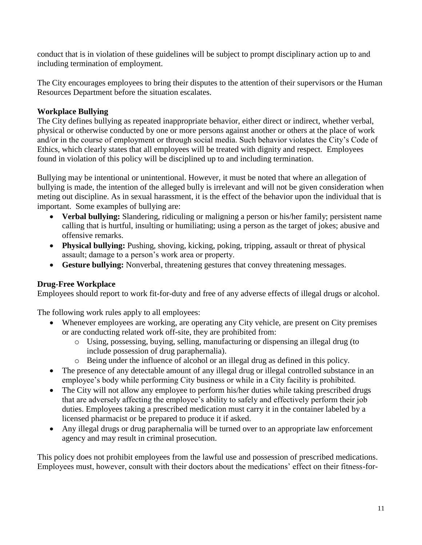conduct that is in violation of these guidelines will be subject to prompt disciplinary action up to and including termination of employment.

The City encourages employees to bring their disputes to the attention of their supervisors or the Human Resources Department before the situation escalates.

# **Workplace Bullying**

The City defines bullying as repeated inappropriate behavior, either direct or indirect, whether verbal, physical or otherwise conducted by one or more persons against another or others at the place of work and/or in the course of employment or through social media. Such behavior violates the City's Code of Ethics, which clearly states that all employees will be treated with dignity and respect. Employees found in violation of this policy will be disciplined up to and including termination.

Bullying may be intentional or unintentional. However, it must be noted that where an allegation of bullying is made, the intention of the alleged bully is irrelevant and will not be given consideration when meting out discipline. As in sexual harassment, it is the effect of the behavior upon the individual that is important. Some examples of bullying are:

- **Verbal bullying:** Slandering, ridiculing or maligning a person or his/her family; persistent name calling that is hurtful, insulting or humiliating; using a person as the target of jokes; abusive and offensive remarks.
- **Physical bullying:** Pushing, shoving, kicking, poking, tripping, assault or threat of physical assault; damage to a person's work area or property.
- **Gesture bullying:** Nonverbal, threatening gestures that convey threatening messages.

# **Drug-Free Workplace**

Employees should report to work fit-for-duty and free of any adverse effects of illegal drugs or alcohol.

The following work rules apply to all employees:

- Whenever employees are working, are operating any City vehicle, are present on City premises or are conducting related work off-site, they are prohibited from:
	- o Using, possessing, buying, selling, manufacturing or dispensing an illegal drug (to include possession of drug paraphernalia).
	- o Being under the influence of alcohol or an illegal drug as defined in this policy.
- The presence of any detectable amount of any illegal drug or illegal controlled substance in an employee's body while performing City business or while in a City facility is prohibited.
- The City will not allow any employee to perform his/her duties while taking prescribed drugs that are adversely affecting the employee's ability to safely and effectively perform their job duties. Employees taking a prescribed medication must carry it in the container labeled by a licensed pharmacist or be prepared to produce it if asked.
- Any illegal drugs or drug paraphernalia will be turned over to an appropriate law enforcement agency and may result in criminal prosecution.

This policy does not prohibit employees from the lawful use and possession of prescribed medications. Employees must, however, consult with their doctors about the medications' effect on their fitness-for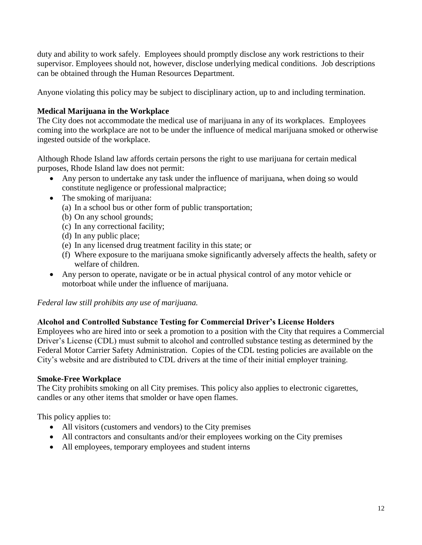duty and ability to work safely. Employees should promptly disclose any work restrictions to their supervisor. Employees should not, however, disclose underlying medical conditions. Job descriptions can be obtained through the Human Resources Department.

Anyone violating this policy may be subject to disciplinary action, up to and including termination.

# **Medical Marijuana in the Workplace**

The City does not accommodate the medical use of marijuana in any of its workplaces. Employees coming into the workplace are not to be under the influence of medical marijuana smoked or otherwise ingested outside of the workplace.

Although Rhode Island law affords certain persons the right to use marijuana for certain medical purposes, Rhode Island law does not permit:

- Any person to undertake any task under the influence of marijuana, when doing so would constitute negligence or professional malpractice;
- The smoking of marijuana:
	- (a) In a school bus or other form of public transportation;
	- (b) On any school grounds;
	- (c) In any correctional facility;
	- (d) In any public place;
	- (e) In any licensed drug treatment facility in this state; or
	- (f) Where exposure to the marijuana smoke significantly adversely affects the health, safety or welfare of children.
- Any person to operate, navigate or be in actual physical control of any motor vehicle or motorboat while under the influence of marijuana.

*Federal law still prohibits any use of marijuana.* 

# **Alcohol and Controlled Substance Testing for Commercial Driver's License Holders**

Employees who are hired into or seek a promotion to a position with the City that requires a Commercial Driver's License (CDL) must submit to alcohol and controlled substance testing as determined by the Federal Motor Carrier Safety Administration. Copies of the CDL testing policies are available on the City's website and are distributed to CDL drivers at the time of their initial employer training.

## **Smoke-Free Workplace**

The City prohibits smoking on all City premises. This policy also applies to electronic cigarettes, candles or any other items that smolder or have open flames.

This policy applies to:

- All visitors (customers and vendors) to the City premises
- All contractors and consultants and/or their employees working on the City premises
- All employees, temporary employees and student interns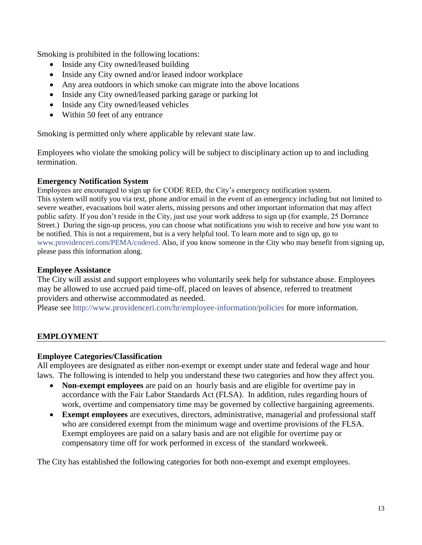Smoking is prohibited in the following locations:

- Inside any City owned/leased building
- Inside any City owned and/or leased indoor workplace
- Any area outdoors in which smoke can migrate into the above locations
- Inside any City owned/leased parking garage or parking lot
- Inside any City owned/leased vehicles
- Within 50 feet of any entrance

Smoking is permitted only where applicable by relevant state law.

Employees who violate the smoking policy will be subject to disciplinary action up to and including termination.

## **Emergency Notification System**

Employees are encouraged to sign up for CODE RED, the City's emergency notification system. This system will notify you via text, phone and/or email in the event of an emergency including but not limited to severe weather, evacuations boil water alerts, missing persons and other important information that may affect public safety. If you don't reside in the City, just use your work address to sign up (for example, 25 Dorrance Street.) During the sign-up process, you can choose what notifications you wish to receive and how you want to be notified. This is not a requirement, but is a very helpful tool. To learn more and to sign up, go to [www.providenceri.com/PEMA/codered.](https://www.providenceri.com/PEMA/codered) Also, if you know someone in the City who may benefit from signing up, please pass this information along.

## **Employee Assistance**

The City will assist and support employees who voluntarily seek help for substance abuse. Employees may be allowed to use accrued paid time-off, placed on leaves of absence, referred to treatment providers and otherwise accommodated as needed.

Please see<http://www.providenceri.com/hr/employee-information/policies> for more information.

## **EMPLOYMENT**

## **Employee Categories/Classification**

All employees are designated as either non-exempt or exempt under state and federal wage and hour laws. The following is intended to help you understand these two categories and how they affect you.

- **Non-exempt employees** are paid on an hourly basis and are eligible for overtime pay in accordance with the Fair Labor Standards Act (FLSA). In addition, rules regarding hours of work, overtime and compensatory time may be governed by collective bargaining agreements.
- **Exempt employees** are executives, directors, administrative, managerial and professional staff who are considered exempt from the minimum wage and overtime provisions of the FLSA. Exempt employees are paid on a salary basis and are not eligible for overtime pay or compensatory time off for work performed in excess of the standard workweek.

The City has established the following categories for both non-exempt and exempt employees.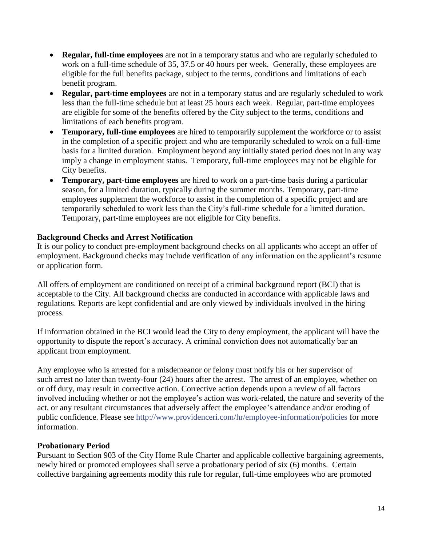- **Regular, full-time employees** are not in a temporary status and who are regularly scheduled to work on a full-time schedule of 35, 37.5 or 40 hours per week. Generally, these employees are eligible for the full benefits package, subject to the terms, conditions and limitations of each benefit program.
- **Regular, part-time employees** are not in a temporary status and are regularly scheduled to work less than the full-time schedule but at least 25 hours each week. Regular, part-time employees are eligible for some of the benefits offered by the City subject to the terms, conditions and limitations of each benefits program.
- **Temporary, full-time employees** are hired to temporarily supplement the workforce or to assist in the completion of a specific project and who are temporarily scheduled to wrok on a full-time basis for a limited duration. Employment beyond any initially stated period does not in any way imply a change in employment status. Temporary, full-time employees may not be eligible for City benefits.
- **Temporary, part-time employees** are hired to work on a part-time basis during a particular season, for a limited duration, typically during the summer months. Temporary, part-time employees supplement the workforce to assist in the completion of a specific project and are temporarily scheduled to work less than the City's full-time schedule for a limited duration. Temporary, part-time employees are not eligible for City benefits.

## <span id="page-14-0"></span>**Background Checks and Arrest Notification**

It is our policy to conduct pre-employment background checks on all applicants who accept an offer of employment. Background checks may include verification of any information on the applicant's resume or application form.

All offers of employment are conditioned on receipt of a criminal background report (BCI) that is acceptable to the City. All background checks are conducted in accordance with applicable laws and regulations. Reports are kept confidential and are only viewed by individuals involved in the hiring process.

If information obtained in the BCI would lead the City to deny employment, the applicant will have the opportunity to dispute the report's accuracy. A criminal conviction does not automatically bar an applicant from employment.

Any employee who is arrested for a misdemeanor or felony must notify his or her supervisor of such arrest no later than twenty-four (24) hours after the arrest. The arrest of an employee, whether on or off duty, may result in corrective action. Corrective action depends upon a review of all factors involved including whether or not the employee's action was work-related, the nature and severity of the act, or any resultant circumstances that adversely affect the employee's attendance and/or eroding of public confidence. Please see<http://www.providenceri.com/hr/employee-information/policies> for more information.

#### **Probationary Period**

Pursuant to Section 903 of the City Home Rule Charter and applicable collective bargaining agreements, newly hired or promoted employees shall serve a probationary period of six (6) months. Certain collective bargaining agreements modify this rule for regular, full-time employees who are promoted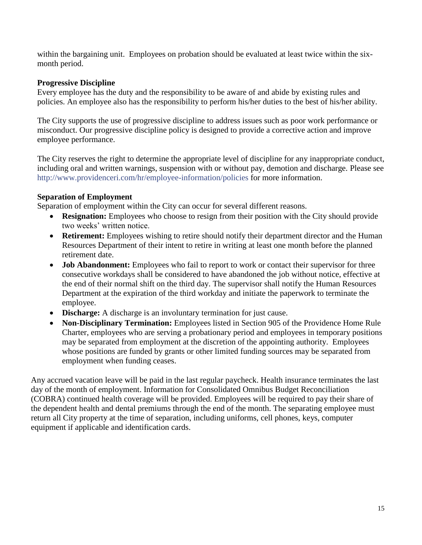within the bargaining unit. Employees on probation should be evaluated at least twice within the sixmonth period.

## <span id="page-15-0"></span>**Progressive Discipline**

Every employee has the duty and the responsibility to be aware of and abide by existing rules and policies. An employee also has the responsibility to perform his/her duties to the best of his/her ability.

The City supports the use of progressive discipline to address issues such as poor work performance or misconduct. Our progressive discipline policy is designed to provide a corrective action and improve employee performance.

The City reserves the right to determine the appropriate level of discipline for any inappropriate conduct, including oral and written warnings, suspension with or without pay, demotion and discharge. Please see <http://www.providenceri.com/hr/employee-information/policies> for more information.

## <span id="page-15-1"></span>**Separation of Employment**

Separation of employment within the City can occur for several different reasons.

- **Resignation:** Employees who choose to resign from their position with the City should provide two weeks' written notice.
- **Retirement:** Employees wishing to retire should notify their department director and the Human Resources Department of their intent to retire in writing at least one month before the planned retirement date.
- **Job Abandonment:** Employees who fail to report to work or contact their supervisor for three consecutive workdays shall be considered to have abandoned the job without notice, effective at the end of their normal shift on the third day. The supervisor shall notify the Human Resources Department at the expiration of the third workday and initiate the paperwork to terminate the employee.
- **Discharge:** A discharge is an involuntary termination for just cause.
- **Non-Disciplinary Termination:** Employees listed in Section 905 of the Providence Home Rule Charter, employees who are serving a probationary period and employees in temporary positions may be separated from employment at the discretion of the appointing authority. Employees whose positions are funded by grants or other limited funding sources may be separated from employment when funding ceases.

Any accrued vacation leave will be paid in the last regular paycheck. Health insurance terminates the last day of the month of employment. Information for Consolidated Omnibus Budget Reconciliation (COBRA) continued health coverage will be provided. Employees will be required to pay their share of the dependent health and dental premiums through the end of the month. The separating employee must return all City property at the time of separation, including uniforms, cell phones, keys, computer equipment if applicable and identification cards.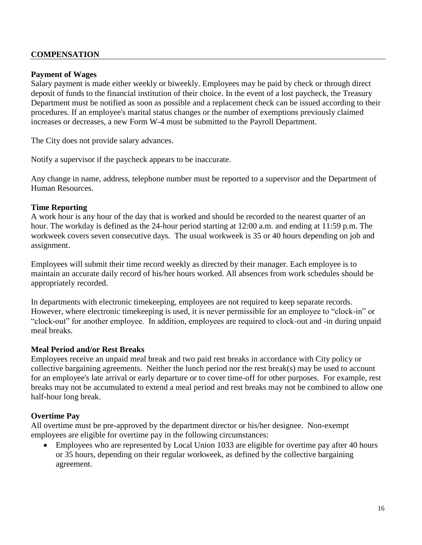## **COMPENSATION**

## **Payment of Wages**

Salary payment is made either weekly or biweekly. Employees may be paid by check or through direct deposit of funds to the financial institution of their choice. In the event of a lost paycheck, the Treasury Department must be notified as soon as possible and a replacement check can be issued according to their procedures. If an employee's marital status changes or the number of exemptions previously claimed increases or decreases, a new Form W-4 must be submitted to the Payroll Department.

The City does not provide salary advances.

Notify a supervisor if the paycheck appears to be inaccurate.

Any change in name, address, telephone number must be reported to a supervisor and the Department of Human Resources.

#### <span id="page-16-0"></span>**Time Reporting**

A work hour is any hour of the day that is worked and should be recorded to the nearest quarter of an hour. The workday is defined as the 24-hour period starting at 12:00 a.m. and ending at 11:59 p.m. The workweek covers seven consecutive days. The usual workweek is 35 or 40 hours depending on job and assignment.

Employees will submit their time record weekly as directed by their manager. Each employee is to maintain an accurate daily record of his/her hours worked. All absences from work schedules should be appropriately recorded.

In departments with electronic timekeeping, employees are not required to keep separate records. However, where electronic timekeeping is used, it is never permissible for an employee to "clock-in" or "clock-out" for another employee. In addition, employees are required to clock-out and -in during unpaid meal breaks.

#### **Meal Period and/or Rest Breaks**

Employees receive an unpaid meal break and two paid rest breaks in accordance with City policy or collective bargaining agreements. Neither the lunch period nor the rest break(s) may be used to account for an employee's late arrival or early departure or to cover time-off for other purposes. For example, rest breaks may not be accumulated to extend a meal period and rest breaks may not be combined to allow one half-hour long break.

#### <span id="page-16-1"></span>**Overtime Pay**

All overtime must be pre-approved by the department director or his/her designee. Non-exempt employees are eligible for overtime pay in the following circumstances:

 Employees who are represented by Local Union 1033 are eligible for overtime pay after 40 hours or 35 hours, depending on their regular workweek, as defined by the collective bargaining agreement.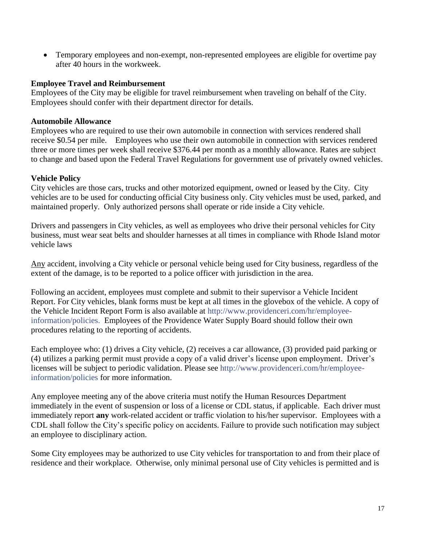Temporary employees and non-exempt, non-represented employees are eligible for overtime pay after 40 hours in the workweek.

## <span id="page-17-0"></span>**Employee Travel and Reimbursement**

Employees of the City may be eligible for travel reimbursement when traveling on behalf of the City. Employees should confer with their department director for details.

## **Automobile Allowance**

Employees who are required to use their own automobile in connection with services rendered shall receive \$0.54 per mile. Employees who use their own automobile in connection with services rendered three or more times per week shall receive \$376.44 per month as a monthly allowance. Rates are subject to change and based upon the Federal Travel Regulations for government use of privately owned vehicles.

## **Vehicle Policy**

City vehicles are those cars, trucks and other motorized equipment, owned or leased by the City. City vehicles are to be used for conducting official City business only. City vehicles must be used, parked, and maintained properly. Only authorized persons shall operate or ride inside a City vehicle.

Drivers and passengers in City vehicles, as well as employees who drive their personal vehicles for City business, must wear seat belts and shoulder harnesses at all times in compliance with Rhode Island motor vehicle laws

Any accident, involving a City vehicle or personal vehicle being used for City business, regardless of the extent of the damage, is to be reported to a police officer with jurisdiction in the area.

Following an accident, employees must complete and submit to their supervisor a Vehicle Incident Report. For City vehicles, blank forms must be kept at all times in the glovebox of the vehicle. A copy of the Vehicle Incident Report Form is also available at [http://www.providenceri.com/hr/employee](http://www.providenceri.com/hr/employee-information/policies)[information/policies.](http://www.providenceri.com/hr/employee-information/policies) Employees of the Providence Water Supply Board should follow their own procedures relating to the reporting of accidents.

Each employee who: (1) drives a City vehicle, (2) receives a car allowance, (3) provided paid parking or (4) utilizes a parking permit must provide a copy of a valid driver's license upon employment. Driver's licenses will be subject to periodic validation. Please see [http://www.providenceri.com/hr/employee](http://www.providenceri.com/hr/employee-information/policies)[information/policies](http://www.providenceri.com/hr/employee-information/policies) for more information.

Any employee meeting any of the above criteria must notify the Human Resources Department immediately in the event of suspension or loss of a license or CDL status, if applicable. Each driver must immediately report **any** work-related accident or traffic violation to his/her supervisor. Employees with a CDL shall follow the City's specific policy on accidents. Failure to provide such notification may subject an employee to disciplinary action.

Some City employees may be authorized to use City vehicles for transportation to and from their place of residence and their workplace. Otherwise, only minimal personal use of City vehicles is permitted and is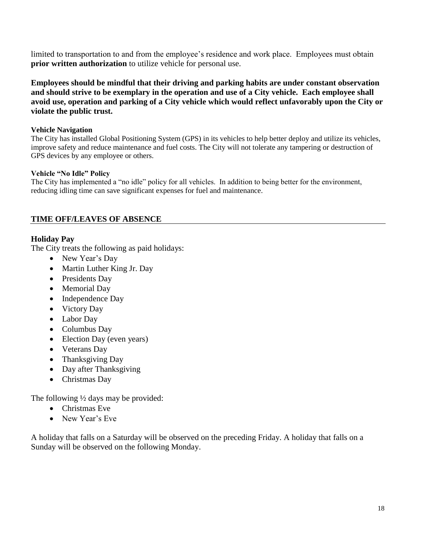limited to transportation to and from the employee's residence and work place. Employees must obtain **prior written authorization** to utilize vehicle for personal use.

**Employees should be mindful that their driving and parking habits are under constant observation and should strive to be exemplary in the operation and use of a City vehicle. Each employee shall avoid use, operation and parking of a City vehicle which would reflect unfavorably upon the City or violate the public trust.**

#### **Vehicle Navigation**

The City has installed Global Positioning System (GPS) in its vehicles to help better deploy and utilize its vehicles, improve safety and reduce maintenance and fuel costs. The City will not tolerate any tampering or destruction of GPS devices by any employee or others.

## **Vehicle "No Idle" Policy**

The City has implemented a "no idle" policy for all vehicles. In addition to being better for the environment, reducing idling time can save significant expenses for fuel and maintenance.

# <span id="page-18-0"></span>**TIME OFF/LEAVES OF ABSENCE**

## <span id="page-18-1"></span>**Holiday Pay**

The City treats the following as paid holidays:

- New Year's Day
- Martin Luther King Jr. Day
- Presidents Day
- Memorial Day
- Independence Day
- Victory Day
- Labor Day
- Columbus Day
- Election Day (even years)
- Veterans Day
- Thanksgiving Day
- Day after Thanksgiving
- Christmas Dav

The following  $\frac{1}{2}$  days may be provided:

- Christmas Eve
- New Year's Eve

A holiday that falls on a Saturday will be observed on the preceding Friday. A holiday that falls on a Sunday will be observed on the following Monday.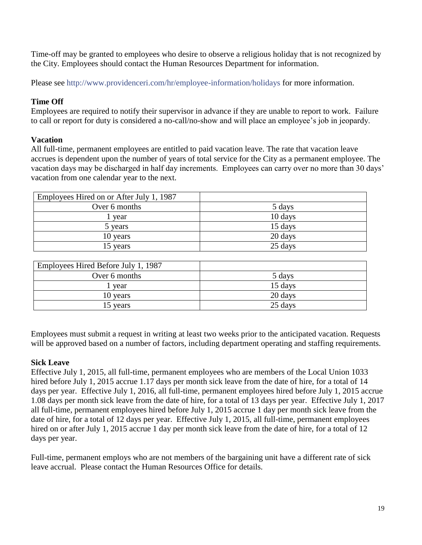Time-off may be granted to employees who desire to observe a religious holiday that is not recognized by the City. Employees should contact the Human Resources Department for information.

Please see<http://www.providenceri.com/hr/employee-information/holidays> for more information.

## **Time Off**

Employees are required to notify their supervisor in advance if they are unable to report to work. Failure to call or report for duty is considered a no-call/no-show and will place an employee's job in jeopardy.

# <span id="page-19-0"></span>**Vacation**

All full-time, permanent employees are entitled to paid vacation leave. The rate that vacation leave accrues is dependent upon the number of years of total service for the City as a permanent employee. The vacation days may be discharged in half day increments. Employees can carry over no more than 30 days' vacation from one calendar year to the next.

| Employees Hired on or After July 1, 1987 |         |
|------------------------------------------|---------|
| Over 6 months                            | 5 days  |
| year                                     | 10 days |
| 5 years                                  | 15 days |
| 10 years                                 | 20 days |
| 15 years                                 | 25 days |

| Employees Hired Before July 1, 1987 |         |
|-------------------------------------|---------|
| Over 6 months                       | 5 days  |
| vear                                | 15 days |
| 10 years                            | 20 days |
| 15 years                            | 25 days |

Employees must submit a request in writing at least two weeks prior to the anticipated vacation. Requests will be approved based on a number of factors, including department operating and staffing requirements.

## <span id="page-19-1"></span>**Sick Leave**

Effective July 1, 2015, all full-time, permanent employees who are members of the Local Union 1033 hired before July 1, 2015 accrue 1.17 days per month sick leave from the date of hire, for a total of 14 days per year. Effective July 1, 2016, all full-time, permanent employees hired before July 1, 2015 accrue 1.08 days per month sick leave from the date of hire, for a total of 13 days per year. Effective July 1, 2017 all full-time, permanent employees hired before July 1, 2015 accrue 1 day per month sick leave from the date of hire, for a total of 12 days per year. Effective July 1, 2015, all full-time, permanent employees hired on or after July 1, 2015 accrue 1 day per month sick leave from the date of hire, for a total of 12 days per year.

Full-time, permanent employs who are not members of the bargaining unit have a different rate of sick leave accrual. Please contact the Human Resources Office for details.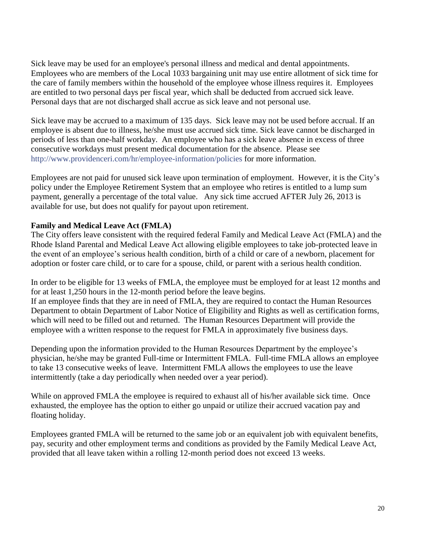Sick leave may be used for an employee's personal illness and medical and dental appointments. Employees who are members of the Local 1033 bargaining unit may use entire allotment of sick time for the care of family members within the household of the employee whose illness requires it. Employees are entitled to two personal days per fiscal year, which shall be deducted from accrued sick leave. Personal days that are not discharged shall accrue as sick leave and not personal use.

Sick leave may be accrued to a maximum of 135 days. Sick leave may not be used before accrual. If an employee is absent due to illness, he/she must use accrued sick time. Sick leave cannot be discharged in periods of less than one-half workday. An employee who has a sick leave absence in excess of three consecutive workdays must present medical documentation for the absence. Please see <http://www.providenceri.com/hr/employee-information/policies> for more information.

Employees are not paid for unused sick leave upon termination of employment. However, it is the City's policy under the Employee Retirement System that an employee who retires is entitled to a lump sum payment, generally a percentage of the total value. Any sick time accrued AFTER July 26, 2013 is available for use, but does not qualify for payout upon retirement.

# **Family and Medical Leave Act (FMLA)**

The City offers leave consistent with the required federal Family and Medical Leave Act (FMLA) and the Rhode Island Parental and Medical Leave Act allowing eligible employees to take job-protected leave in the event of an employee's serious health condition, birth of a child or care of a newborn, placement for adoption or foster care child, or to care for a spouse, child, or parent with a serious health condition.

In order to be eligible for 13 weeks of FMLA, the employee must be employed for at least 12 months and for at least 1,250 hours in the 12-month period before the leave begins. If an employee finds that they are in need of FMLA, they are required to contact the Human Resources Department to obtain Department of Labor Notice of Eligibility and Rights as well as certification forms, which will need to be filled out and returned. The Human Resources Department will provide the employee with a written response to the request for FMLA in approximately five business days.

Depending upon the information provided to the Human Resources Department by the employee's physician, he/she may be granted Full-time or Intermittent FMLA. Full-time FMLA allows an employee to take 13 consecutive weeks of leave. Intermittent FMLA allows the employees to use the leave intermittently (take a day periodically when needed over a year period).

While on approved FMLA the employee is required to exhaust all of his/her available sick time. Once exhausted, the employee has the option to either go unpaid or utilize their accrued vacation pay and floating holiday.

Employees granted FMLA will be returned to the same job or an equivalent job with equivalent benefits, pay, security and other employment terms and conditions as provided by the Family Medical Leave Act, provided that all leave taken within a rolling 12-month period does not exceed 13 weeks.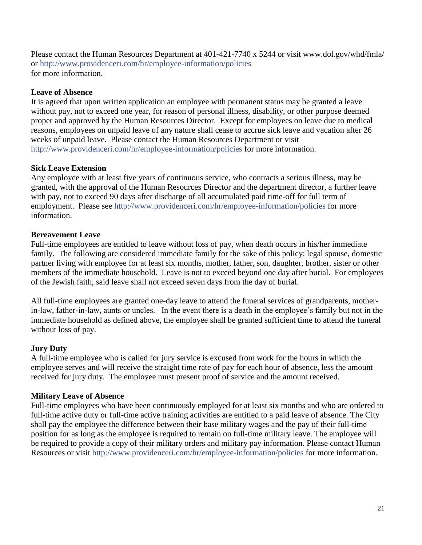Please contact the Human Resources Department at 401-421-7740 x 5244 or visit [www.dol.gov/whd/fmla/](http://www.dol.gov/whd/fmla/) or<http://www.providenceri.com/hr/employee-information/policies> for more information.

## <span id="page-21-0"></span>**Leave of Absence**

It is agreed that upon written application an employee with permanent status may be granted a leave without pay, not to exceed one year, for reason of personal illness, disability, or other purpose deemed proper and approved by the Human Resources Director. Except for employees on leave due to medical reasons, employees on unpaid leave of any nature shall cease to accrue sick leave and vacation after 26 weeks of unpaid leave. Please contact the Human Resources Department or visit <http://www.providenceri.com/hr/employee-information/policies> for more information.

# **Sick Leave Extension**

Any employee with at least five years of continuous service, who contracts a serious illness, may be granted, with the approval of the Human Resources Director and the department director, a further leave with pay, not to exceed 90 days after discharge of all accumulated paid time-off for full term of employment. Please see<http://www.providenceri.com/hr/employee-information/policies> for more information.

# <span id="page-21-1"></span>**Bereavement Leave**

Full-time employees are entitled to leave without loss of pay, when death occurs in his/her immediate family. The following are considered immediate family for the sake of this policy: legal spouse, domestic partner living with employee for at least six months, mother, father, son, daughter, brother, sister or other members of the immediate household. Leave is not to exceed beyond one day after burial. For employees of the Jewish faith, said leave shall not exceed seven days from the day of burial.

All full-time employees are granted one-day leave to attend the funeral services of grandparents, motherin-law, father-in-law, aunts or uncles. In the event there is a death in the employee's family but not in the immediate household as defined above, the employee shall be granted sufficient time to attend the funeral without loss of pay.

# <span id="page-21-2"></span>**Jury Duty**

A full-time employee who is called for jury service is excused from work for the hours in which the employee serves and will receive the straight time rate of pay for each hour of absence, less the amount received for jury duty. The employee must present proof of service and the amount received.

# <span id="page-21-3"></span>**Military Leave of Absence**

<span id="page-21-4"></span>Full-time employees who have been continuously employed for at least six months and who are ordered to full-time active duty or full-time active training activities are entitled to a paid leave of absence. The City shall pay the employee the difference between their base military wages and the pay of their full-time position for as long as the employee is required to remain on full-time military leave. The employee will be required to provide a copy of their military orders and military pay information. Please contact Human Resources or visit<http://www.providenceri.com/hr/employee-information/policies> for more information.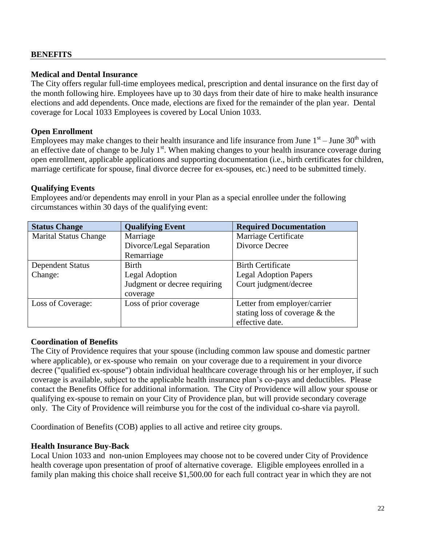## **BENEFITS**

#### <span id="page-22-0"></span>**Medical and Dental Insurance**

The City offers regular full-time employees medical, prescription and dental insurance on the first day of the month following hire. Employees have up to 30 days from their date of hire to make health insurance elections and add dependents. Once made, elections are fixed for the remainder of the plan year. Dental coverage for Local 1033 Employees is covered by Local Union 1033.

#### **Open Enrollment**

Employees may make changes to their health insurance and life insurance from June  $1<sup>st</sup>$  – June  $30<sup>th</sup>$  with an effective date of change to be July  $1<sup>st</sup>$ . When making changes to your health insurance coverage during open enrollment, applicable applications and supporting documentation (i.e., birth certificates for children, marriage certificate for spouse, final divorce decree for ex-spouses, etc.) need to be submitted timely.

## **Qualifying Events**

Employees and/or dependents may enroll in your Plan as a special enrollee under the following circumstances within 30 days of the qualifying event:

| <b>Status Change</b>         | <b>Qualifying Event</b>      | <b>Required Documentation</b>  |
|------------------------------|------------------------------|--------------------------------|
| <b>Marital Status Change</b> | Marriage                     | Marriage Certificate           |
|                              | Divorce/Legal Separation     | Divorce Decree                 |
|                              | Remarriage                   |                                |
| <b>Dependent Status</b>      | <b>Birth</b>                 | <b>Birth Certificate</b>       |
| Change:                      | <b>Legal Adoption</b>        | <b>Legal Adoption Papers</b>   |
|                              | Judgment or decree requiring | Court judgment/decree          |
|                              | coverage                     |                                |
| Loss of Coverage:            | Loss of prior coverage       | Letter from employer/carrier   |
|                              |                              | stating loss of coverage & the |
|                              |                              | effective date.                |

#### **Coordination of Benefits**

The City of Providence requires that your spouse (including common law spouse and domestic partner where applicable), or ex-spouse who remain on your coverage due to a requirement in your divorce decree ("qualified ex-spouse") obtain individual healthcare coverage through his or her employer, if such coverage is available, subject to the applicable health insurance plan's co-pays and deductibles. Please contact the Benefits Office for additional information. The City of Providence will allow your spouse or qualifying ex-spouse to remain on your City of Providence plan, but will provide secondary coverage only. The City of Providence will reimburse you for the cost of the individual co-share via payroll.

Coordination of Benefits (COB) applies to all active and retiree city groups.

#### **Health Insurance Buy-Back**

Local Union 1033 and non-union Employees may choose not to be covered under City of Providence health coverage upon presentation of proof of alternative coverage. Eligible employees enrolled in a family plan making this choice shall receive \$1,500.00 for each full contract year in which they are not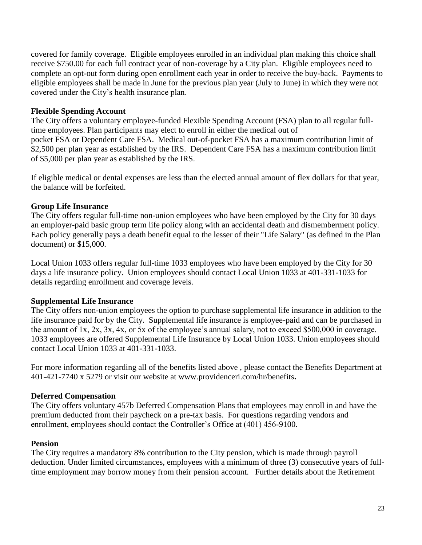covered for family coverage. Eligible employees enrolled in an individual plan making this choice shall receive \$750.00 for each full contract year of non-coverage by a City plan. Eligible employees need to complete an opt-out form during open enrollment each year in order to receive the buy-back. Payments to eligible employees shall be made in June for the previous plan year (July to June) in which they were not covered under the City's health insurance plan.

## <span id="page-23-0"></span>**Flexible Spending Account**

The City offers a voluntary employee-funded Flexible Spending Account (FSA) plan to all regular fulltime employees. Plan participants may elect to enroll in either the medical out of pocket FSA or Dependent Care FSA. Medical out-of-pocket FSA has a maximum contribution limit of \$2,500 per plan year as established by the IRS. Dependent Care FSA has a maximum contribution limit of \$5,000 per plan year as established by the IRS.

If eligible medical or dental expenses are less than the elected annual amount of flex dollars for that year, the balance will be forfeited.

## **Group Life Insurance**

The City offers regular full-time non-union employees who have been employed by the City for 30 days an employer-paid basic group term life policy along with an accidental death and dismemberment policy. Each policy generally pays a death benefit equal to the lesser of their "Life Salary" (as defined in the Plan document) or \$15,000.

Local Union 1033 offers regular full-time 1033 employees who have been employed by the City for 30 days a life insurance policy. Union employees should contact Local Union 1033 at 401-331-1033 for details regarding enrollment and coverage levels.

## **Supplemental Life Insurance**

The City offers non-union employees the option to purchase supplemental life insurance in addition to the life insurance paid for by the City. Supplemental life insurance is employee-paid and can be purchased in the amount of 1x, 2x, 3x, 4x, or 5x of the employee's annual salary, not to exceed \$500,000 in coverage. 1033 employees are offered Supplemental Life Insurance by Local Union 1033. Union employees should contact Local Union 1033 at 401-331-1033.

For more information regarding all of the benefits listed above , please contact the Benefits Department at 401-421-7740 x 5279 or visit our website at [www.providenceri.com/hr/benefits](http://www.providenceri.com/hr/benefits)**.**

## **Deferred Compensation**

The City offers voluntary 457b Deferred Compensation Plans that employees may enroll in and have the premium deducted from their paycheck on a pre-tax basis. For questions regarding vendors and enrollment, employees should contact the Controller's Office at (401) 456-9100.

#### <span id="page-23-1"></span>**Pension**

The City requires a mandatory 8% contribution to the City pension, which is made through payroll deduction. Under limited circumstances, employees with a minimum of three (3) consecutive years of fulltime employment may borrow money from their pension account. Further details about the Retirement